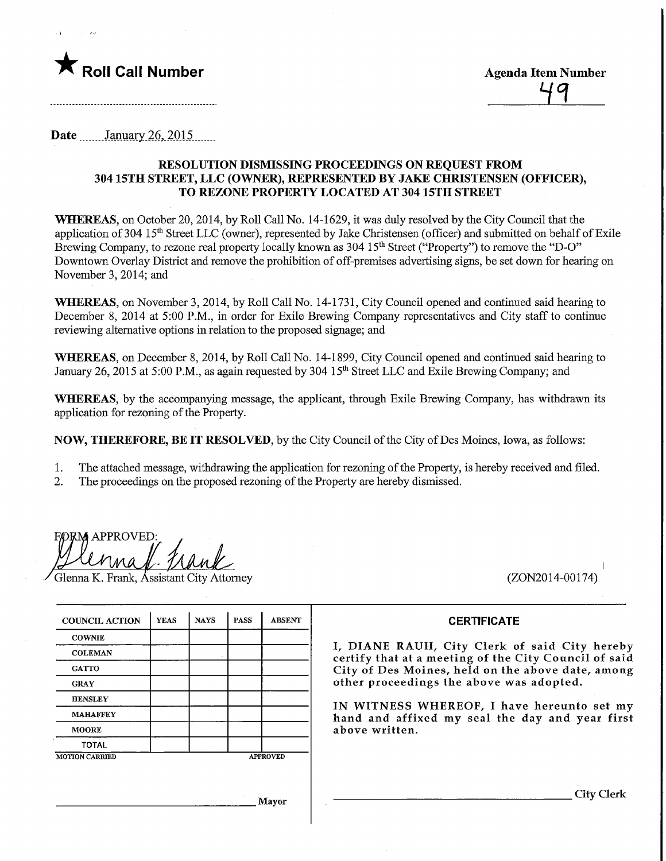

Date ........January.26,.2015..

## RESOLUTION DISMISSING PROCEEDINGS ON REQUEST FROM 304 15TH STREET, LLC (OWNER), REPRESENTED BY JAKE CHRISTENSEN (OFFICER), TO REZONE PROPERTY LOCATED AT 304 15TH STREET

WHEREAS, on October 20, 2014, by Roll Call No. 14-1629, it was duly resolved by the City Council that the application of 304 15<sup>th</sup> Street LLC (owner), represented by Jake Christensen (officer) and submitted on behalf of Exile Brewing Company, to rezone real property locally known as 304 15<sup>th</sup> Street ("Property") to remove the "D-O" Downtown Overlay District and remove the prohibition of off-premises advertising signs, be set down for hearing on November 3, 2014; and

WHEREAS, on November 3, 2014, by Roll Call No. 14-1731, City Council opened and continued said hearing to December 8, 2014 at 5:00 P.M., in order for Exile Brewing Company representatives and City staff to continue reviewing alternative options in relation to the proposed signage; and

WHEREAS, on December 8, 2014, by Roll Call No. 14-1899, City Council opened and continued said hearing to January 26, 2015 at 5:00 P.M., as again requested by 304 15<sup>th</sup> Street LLC and Exile Brewing Company; and

WHEREAS, by the accompanying message, the applicant, through Exile Brewing Company, has withdrawn its application for rezoning of the Property.

NOW, THEREFORE, BE IT RESOLVED, by the City Council of the City ofDes Moines, Iowa, as follows:

1. The attached message, withdrawing the application for rezoning of the Property, is hereby received and filed.

2. The proceedings on the proposed rezoning of the Property are hereby dismissed.

**FORM APPROVED** 

lenna K. Frank, Assistant City Attorney (ZON2014-00174)

## **CERTIFICATE**

I, DIANE RAUH, City Clerk of said City hereby certify that at a meeting of the City Council of said City of Des Moines, held on the above date, among other proceedings the above was adopted.

IN WITNESS WHEREOF, I have hereunto set my hand and affixed my seal the day and year first above written.

| <b>COUNCIL ACTION</b> | <b>YEAS</b> | <b>NAYS</b> | <b>PASS</b>     | <b>ABSENT</b> |
|-----------------------|-------------|-------------|-----------------|---------------|
| <b>COWNIE</b>         |             |             |                 |               |
| <b>COLEMAN</b>        |             |             |                 |               |
| <b>GATTO</b>          |             |             |                 |               |
| <b>GRAY</b>           |             |             |                 |               |
| <b>HENSLEY</b>        |             |             |                 |               |
| <b>MAHAFFEY</b>       |             |             |                 |               |
| <b>MOORE</b>          |             |             |                 |               |
| <b>TOTAL</b>          |             |             |                 |               |
| <b>MOTION CARRIED</b> |             |             | <b>APPROVED</b> |               |
|                       |             |             |                 |               |
|                       |             |             |                 |               |

Mayor

City Clerk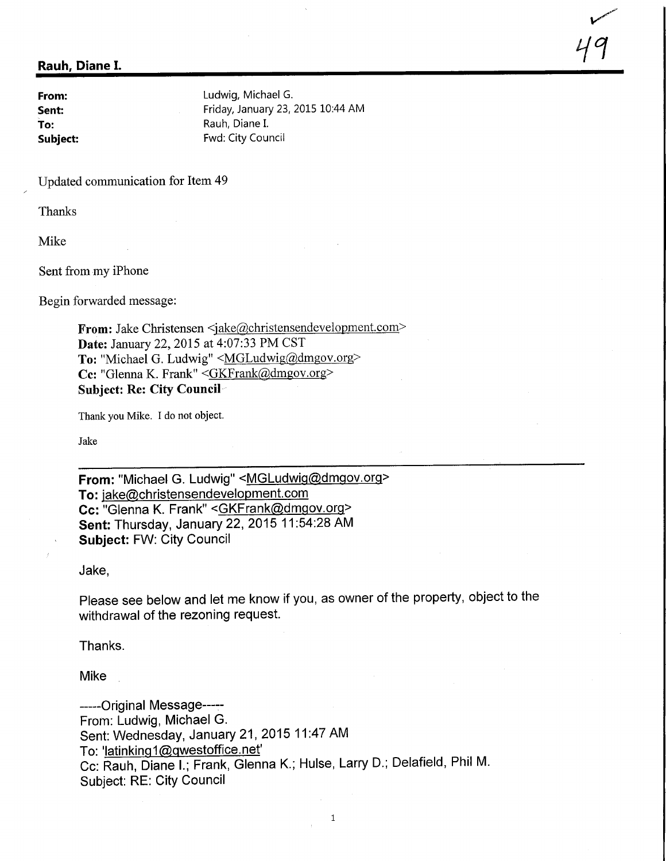## Rauh, Diane I.

**From:** Ludwig, Michael G. Sent: Friday, January 23, 2015 10:44 AM To: To: Rauh, Diane I.<br>
Subject: The Rauh, Diane I.<br>
Fwd: City Coul Fwd: City Council

**A** 

19

Updated communication for Item 49

Thanks

Mike

Sent from my iPhone

Begin forwarded message:

From: Jake Christensen <jake@christensendevelopment.com> Date: January 22, 2015 at 4:07:33 PM CST To: "Michael G. Ludwig" < MGLudwig@dmgov.org> Cc: "Glenna K. Frank" <GKFrank@dmgov.org> Subject: Re: City Council

Thank you Mike. I do not object.

Jake

From: "Michael G. Ludwig" <MGLudwig@dmgov.org> To: jake@christensendevelopment.com Cc: "Glenna K. Frank" <GKFrank@dmgov.org> Sent: Thursday, January 22, 2015 11 :54:28 AM Subject: FW: City Council

Jake,

Please see below and let me know if you, as owner of the property, object to the withdrawal of the rezoning request.

Thanks.

Mike

-----Original Message-----From: Ludwig, Michael G. Sent: Wednesday, January 21, 2015 11:47 AM To: 'latinking1@qwestoffice.net' Cc: Rauh, Diane I.; Frank, Glenna K.; Hulse, Larry D.; Delafield, Phil M. Subject: RE: City Council